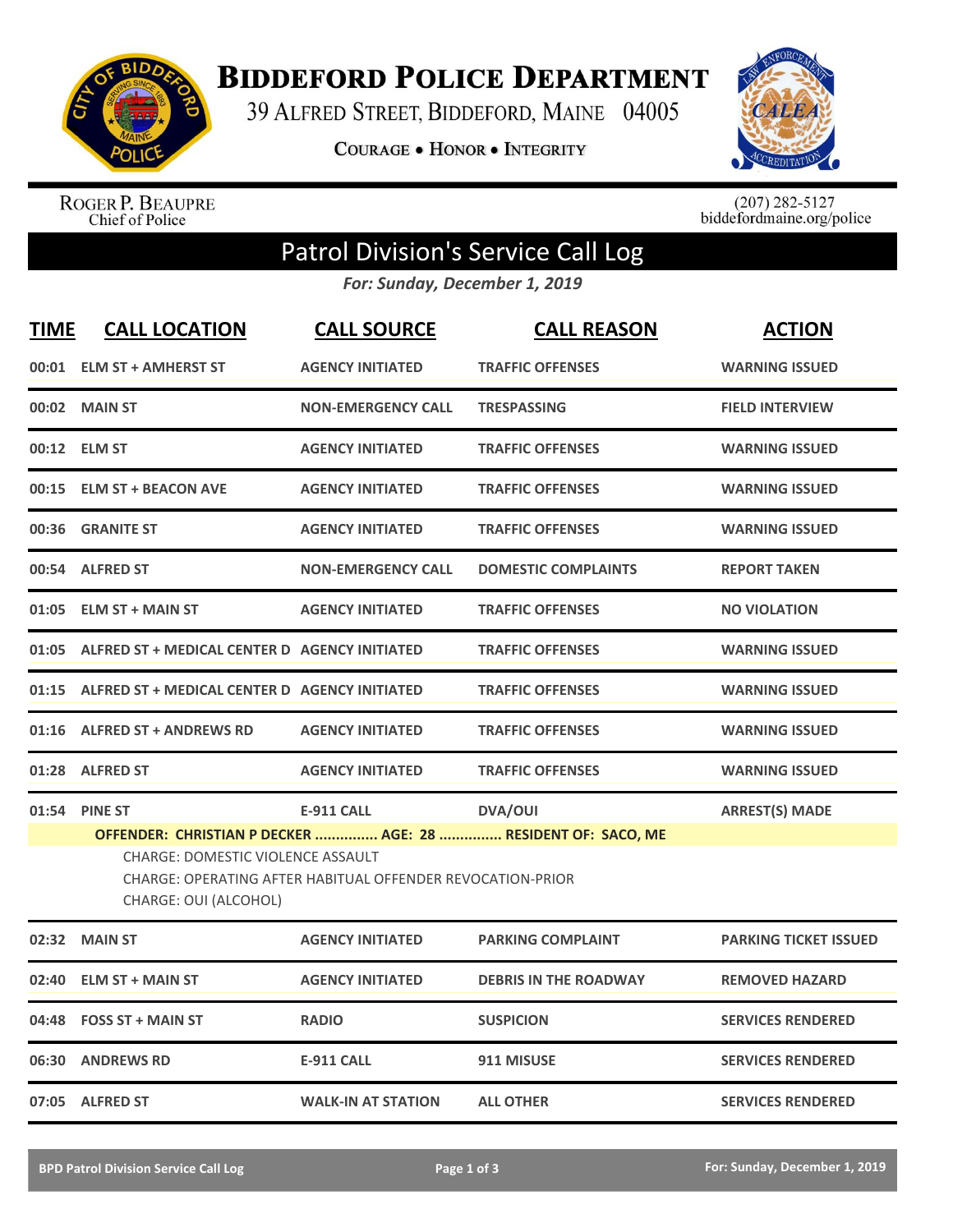

**BIDDEFORD POLICE DEPARTMENT** 

39 ALFRED STREET, BIDDEFORD, MAINE 04005

**COURAGE . HONOR . INTEGRITY** 



ROGER P. BEAUPRE<br>Chief of Police

 $(207)$  282-5127<br>biddefordmaine.org/police

## Patrol Division's Service Call Log

*For: Sunday, December 1, 2019*

| <b>TIME</b> | <b>CALL LOCATION</b>                                                                                                                                                                            | <b>CALL SOURCE</b>        | <b>CALL REASON</b>           | <b>ACTION</b>                |  |
|-------------|-------------------------------------------------------------------------------------------------------------------------------------------------------------------------------------------------|---------------------------|------------------------------|------------------------------|--|
|             | 00:01 ELM ST + AMHERST ST                                                                                                                                                                       | <b>AGENCY INITIATED</b>   | <b>TRAFFIC OFFENSES</b>      | <b>WARNING ISSUED</b>        |  |
|             | 00:02 MAIN ST                                                                                                                                                                                   | <b>NON-EMERGENCY CALL</b> | <b>TRESPASSING</b>           | <b>FIELD INTERVIEW</b>       |  |
|             | 00:12 ELM ST                                                                                                                                                                                    | <b>AGENCY INITIATED</b>   | <b>TRAFFIC OFFENSES</b>      | <b>WARNING ISSUED</b>        |  |
| 00:15       | <b>ELM ST + BEACON AVE</b>                                                                                                                                                                      | <b>AGENCY INITIATED</b>   | <b>TRAFFIC OFFENSES</b>      | <b>WARNING ISSUED</b>        |  |
| 00:36       | <b>GRANITE ST</b>                                                                                                                                                                               | <b>AGENCY INITIATED</b>   | <b>TRAFFIC OFFENSES</b>      | <b>WARNING ISSUED</b>        |  |
|             | 00:54 ALFRED ST                                                                                                                                                                                 | <b>NON-EMERGENCY CALL</b> | <b>DOMESTIC COMPLAINTS</b>   | <b>REPORT TAKEN</b>          |  |
| 01:05       | <b>ELM ST + MAIN ST</b>                                                                                                                                                                         | <b>AGENCY INITIATED</b>   | <b>TRAFFIC OFFENSES</b>      | <b>NO VIOLATION</b>          |  |
|             | 01:05 ALFRED ST + MEDICAL CENTER D AGENCY INITIATED                                                                                                                                             |                           | <b>TRAFFIC OFFENSES</b>      | <b>WARNING ISSUED</b>        |  |
| 01:15       | ALFRED ST + MEDICAL CENTER D AGENCY INITIATED                                                                                                                                                   |                           | <b>TRAFFIC OFFENSES</b>      | <b>WARNING ISSUED</b>        |  |
| 01:16       | <b>ALFRED ST + ANDREWS RD</b>                                                                                                                                                                   | <b>AGENCY INITIATED</b>   | <b>TRAFFIC OFFENSES</b>      | <b>WARNING ISSUED</b>        |  |
| 01:28       | <b>ALFRED ST</b>                                                                                                                                                                                | <b>AGENCY INITIATED</b>   | <b>TRAFFIC OFFENSES</b>      | <b>WARNING ISSUED</b>        |  |
|             | 01:54 PINE ST                                                                                                                                                                                   | <b>E-911 CALL</b>         | <b>DVA/OUI</b>               | <b>ARREST(S) MADE</b>        |  |
|             | OFFENDER: CHRISTIAN P DECKER  AGE: 28  RESIDENT OF: SACO, ME<br><b>CHARGE: DOMESTIC VIOLENCE ASSAULT</b><br>CHARGE: OPERATING AFTER HABITUAL OFFENDER REVOCATION-PRIOR<br>CHARGE: OUI (ALCOHOL) |                           |                              |                              |  |
| 02:32       | <b>MAIN ST</b>                                                                                                                                                                                  | <b>AGENCY INITIATED</b>   | <b>PARKING COMPLAINT</b>     | <b>PARKING TICKET ISSUED</b> |  |
| 02:40       | <b>ELM ST + MAIN ST</b>                                                                                                                                                                         | <b>AGENCY INITIATED</b>   | <b>DEBRIS IN THE ROADWAY</b> | <b>REMOVED HAZARD</b>        |  |
| 04:48       | <b>FOSS ST + MAIN ST</b>                                                                                                                                                                        | <b>RADIO</b>              | <b>SUSPICION</b>             | <b>SERVICES RENDERED</b>     |  |
|             | 06:30 ANDREWS RD                                                                                                                                                                                | <b>E-911 CALL</b>         | 911 MISUSE                   | <b>SERVICES RENDERED</b>     |  |
|             | 07:05 ALFRED ST                                                                                                                                                                                 | <b>WALK-IN AT STATION</b> | <b>ALL OTHER</b>             | <b>SERVICES RENDERED</b>     |  |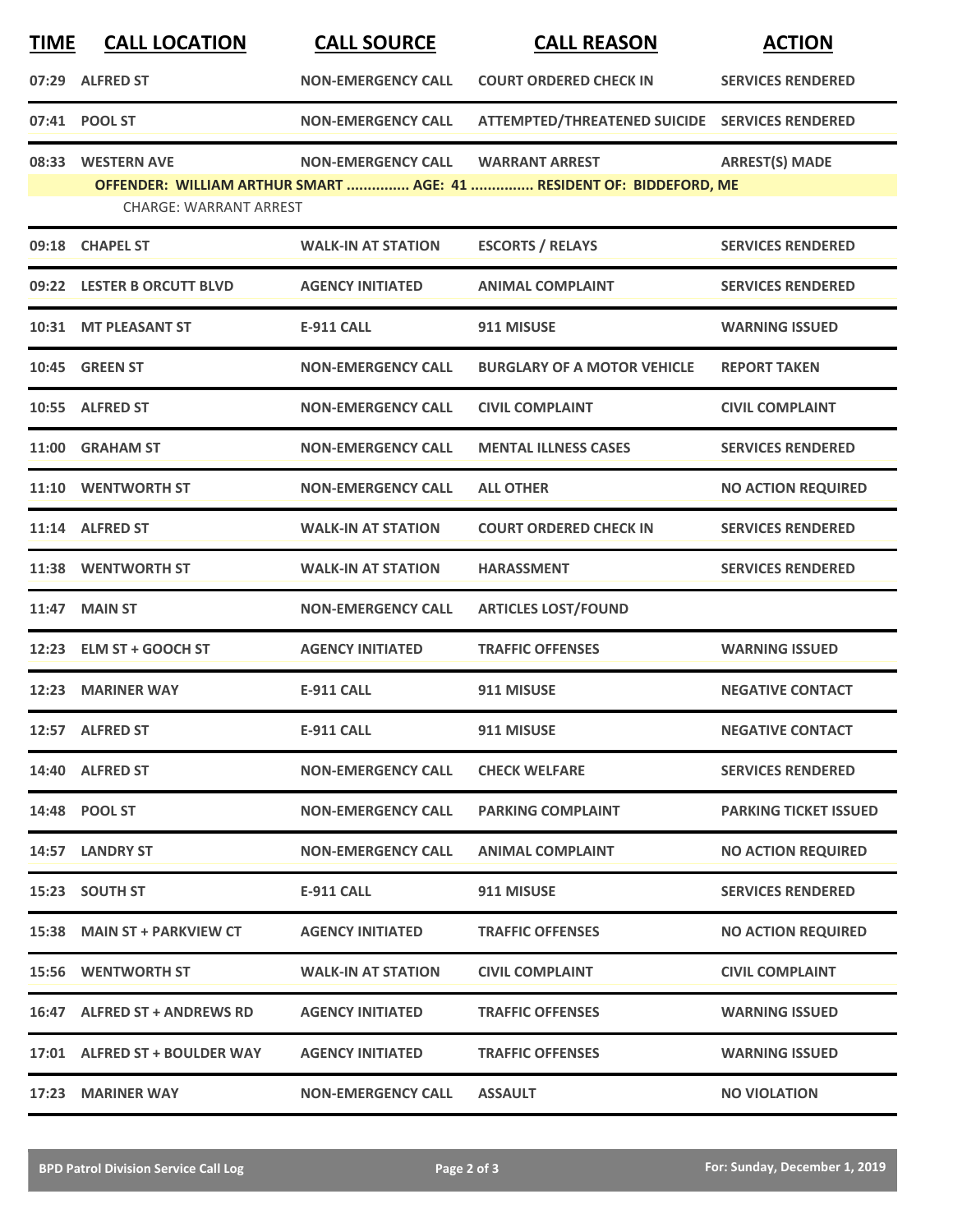| <b>TIME</b> | <b>CALL LOCATION</b>                               | <b>CALL SOURCE</b>        | <b>CALL REASON</b>                                                                           | <b>ACTION</b>                |
|-------------|----------------------------------------------------|---------------------------|----------------------------------------------------------------------------------------------|------------------------------|
|             | 07:29 ALFRED ST                                    | <b>NON-EMERGENCY CALL</b> | <b>COURT ORDERED CHECK IN</b>                                                                | <b>SERVICES RENDERED</b>     |
|             | 07:41 POOL ST                                      | <b>NON-EMERGENCY CALL</b> | ATTEMPTED/THREATENED SUICIDE SERVICES RENDERED                                               |                              |
|             | 08:33 WESTERN AVE<br><b>CHARGE: WARRANT ARREST</b> | <b>NON-EMERGENCY CALL</b> | <b>WARRANT ARREST</b><br>OFFENDER: WILLIAM ARTHUR SMART  AGE: 41  RESIDENT OF: BIDDEFORD, ME | <b>ARREST(S) MADE</b>        |
|             | 09:18 CHAPEL ST                                    | <b>WALK-IN AT STATION</b> | <b>ESCORTS / RELAYS</b>                                                                      | <b>SERVICES RENDERED</b>     |
|             | 09:22 LESTER B ORCUTT BLVD                         | <b>AGENCY INITIATED</b>   | <b>ANIMAL COMPLAINT</b>                                                                      | <b>SERVICES RENDERED</b>     |
|             | 10:31 MT PLEASANT ST                               | <b>E-911 CALL</b>         | 911 MISUSE                                                                                   | <b>WARNING ISSUED</b>        |
|             | 10:45 GREEN ST                                     | <b>NON-EMERGENCY CALL</b> | <b>BURGLARY OF A MOTOR VEHICLE</b>                                                           | <b>REPORT TAKEN</b>          |
| 10:55       | <b>ALFRED ST</b>                                   | <b>NON-EMERGENCY CALL</b> | <b>CIVIL COMPLAINT</b>                                                                       | <b>CIVIL COMPLAINT</b>       |
|             | 11:00 GRAHAM ST                                    | <b>NON-EMERGENCY CALL</b> | <b>MENTAL ILLNESS CASES</b>                                                                  | <b>SERVICES RENDERED</b>     |
|             | 11:10 WENTWORTH ST                                 | <b>NON-EMERGENCY CALL</b> | <b>ALL OTHER</b>                                                                             | <b>NO ACTION REQUIRED</b>    |
|             | 11:14 ALFRED ST                                    | <b>WALK-IN AT STATION</b> | <b>COURT ORDERED CHECK IN</b>                                                                | <b>SERVICES RENDERED</b>     |
|             | 11:38 WENTWORTH ST                                 | <b>WALK-IN AT STATION</b> | <b>HARASSMENT</b>                                                                            | <b>SERVICES RENDERED</b>     |
| 11:47       | <b>MAIN ST</b>                                     | <b>NON-EMERGENCY CALL</b> | <b>ARTICLES LOST/FOUND</b>                                                                   |                              |
| 12:23       | <b>ELM ST + GOOCH ST</b>                           | <b>AGENCY INITIATED</b>   | <b>TRAFFIC OFFENSES</b>                                                                      | <b>WARNING ISSUED</b>        |
| 12:23       | <b>MARINER WAY</b>                                 | <b>E-911 CALL</b>         | 911 MISUSE                                                                                   | <b>NEGATIVE CONTACT</b>      |
|             | 12:57 ALFRED ST                                    | <b>E-911 CALL</b>         | 911 MISUSE                                                                                   | <b>NEGATIVE CONTACT</b>      |
|             | 14:40 ALFRED ST                                    | <b>NON-EMERGENCY CALL</b> | <b>CHECK WELFARE</b>                                                                         | <b>SERVICES RENDERED</b>     |
|             | 14:48 POOL ST                                      | <b>NON-EMERGENCY CALL</b> | <b>PARKING COMPLAINT</b>                                                                     | <b>PARKING TICKET ISSUED</b> |
|             | 14:57 LANDRY ST                                    | <b>NON-EMERGENCY CALL</b> | <b>ANIMAL COMPLAINT</b>                                                                      | <b>NO ACTION REQUIRED</b>    |
|             | 15:23 SOUTH ST                                     | <b>E-911 CALL</b>         | 911 MISUSE                                                                                   | <b>SERVICES RENDERED</b>     |
| 15:38       | <b>MAIN ST + PARKVIEW CT</b>                       | <b>AGENCY INITIATED</b>   | <b>TRAFFIC OFFENSES</b>                                                                      | <b>NO ACTION REQUIRED</b>    |
|             | <b>15:56 WENTWORTH ST</b>                          | <b>WALK-IN AT STATION</b> | <b>CIVIL COMPLAINT</b>                                                                       | <b>CIVIL COMPLAINT</b>       |
|             | 16:47 ALFRED ST + ANDREWS RD                       | <b>AGENCY INITIATED</b>   | <b>TRAFFIC OFFENSES</b>                                                                      | <b>WARNING ISSUED</b>        |
|             | 17:01 ALFRED ST + BOULDER WAY                      | <b>AGENCY INITIATED</b>   | <b>TRAFFIC OFFENSES</b>                                                                      | <b>WARNING ISSUED</b>        |
| 17:23       | <b>MARINER WAY</b>                                 | <b>NON-EMERGENCY CALL</b> | <b>ASSAULT</b>                                                                               | <b>NO VIOLATION</b>          |